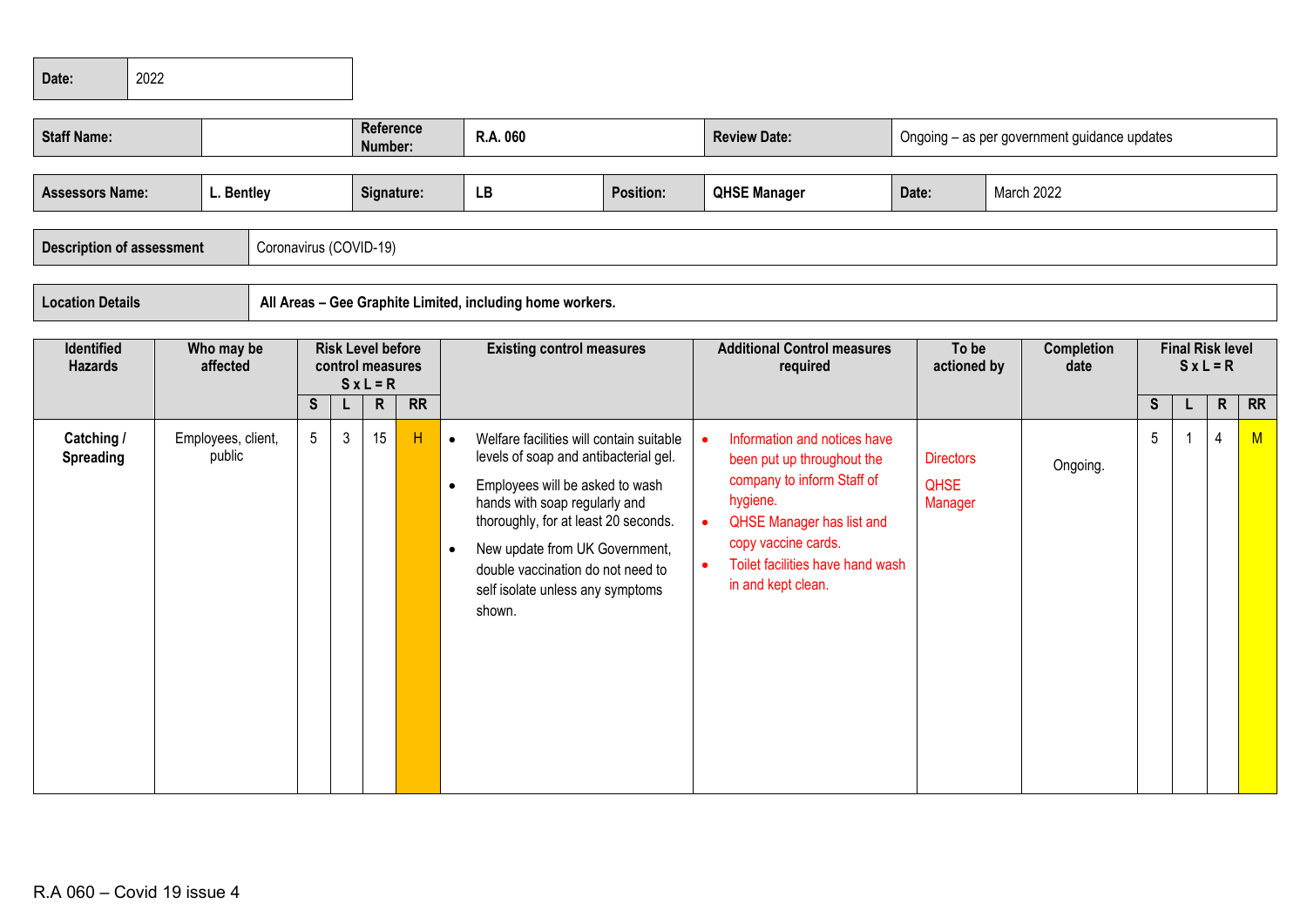| Date: | $\vert$ 2022 |
|-------|--------------|
|       |              |

| <b>Staff Name:</b>                                         |                                                                                                                                |                        |              | <b>Reference</b><br>Number:                          |           |                                     | R.A. 060                                                                                                                                                                                                                                                                                                           |                  |                        | <b>Review Date:</b>                                                                                                                                                                                                       | Ongoing - as per government guidance updates |                                            |  |                    |   |  |                             |           |
|------------------------------------------------------------|--------------------------------------------------------------------------------------------------------------------------------|------------------------|--------------|------------------------------------------------------|-----------|-------------------------------------|--------------------------------------------------------------------------------------------------------------------------------------------------------------------------------------------------------------------------------------------------------------------------------------------------------------------|------------------|------------------------|---------------------------------------------------------------------------------------------------------------------------------------------------------------------------------------------------------------------------|----------------------------------------------|--------------------------------------------|--|--------------------|---|--|-----------------------------|-----------|
| <b>Assessors Name:</b><br><b>Description of assessment</b> | L. Bentley                                                                                                                     | Coronavirus (COVID-19) |              | Signature:                                           |           |                                     | LB                                                                                                                                                                                                                                                                                                                 | <b>Position:</b> |                        | <b>QHSE Manager</b>                                                                                                                                                                                                       | March 2022<br>Date:                          |                                            |  |                    |   |  |                             |           |
| <b>Location Details</b>                                    | All Areas - Gee Graphite Limited, including home workers.<br><b>Final Risk level</b><br>Who may be<br><b>Risk Level before</b> |                        |              |                                                      |           |                                     |                                                                                                                                                                                                                                                                                                                    |                  |                        |                                                                                                                                                                                                                           |                                              |                                            |  |                    |   |  |                             |           |
| Identified<br><b>Hazards</b>                               | affected                                                                                                                       | S                      | L            | control measures<br>$S \times L = R$<br>$\mathsf{R}$ | <b>RR</b> |                                     | <b>Existing control measures</b>                                                                                                                                                                                                                                                                                   |                  |                        | <b>Additional Control measures</b><br>required                                                                                                                                                                            |                                              | To be<br>actioned by                       |  | Completion<br>date | S |  | $S x L = R$<br>$\mathsf{R}$ | <b>RR</b> |
| Catching /<br>Spreading                                    | Employees, client,<br>public                                                                                                   | 5 <sup>5</sup>         | $\mathbf{3}$ | 15                                                   | H         | $\bullet$<br>$\bullet$<br>$\bullet$ | Welfare facilities will contain suitable<br>levels of soap and antibacterial gel.<br>Employees will be asked to wash<br>hands with soap regularly and<br>thoroughly, for at least 20 seconds.<br>New update from UK Government,<br>double vaccination do not need to<br>self isolate unless any symptoms<br>shown. |                  | $\bullet$<br>$\bullet$ | Information and notices have<br>been put up throughout the<br>company to inform Staff of<br>hygiene.<br><b>QHSE Manager has list and</b><br>copy vaccine cards.<br>Toilet facilities have hand wash<br>in and kept clean. |                                              | <b>Directors</b><br><b>QHSE</b><br>Manager |  | Ongoing.           | 5 |  | 4                           | M         |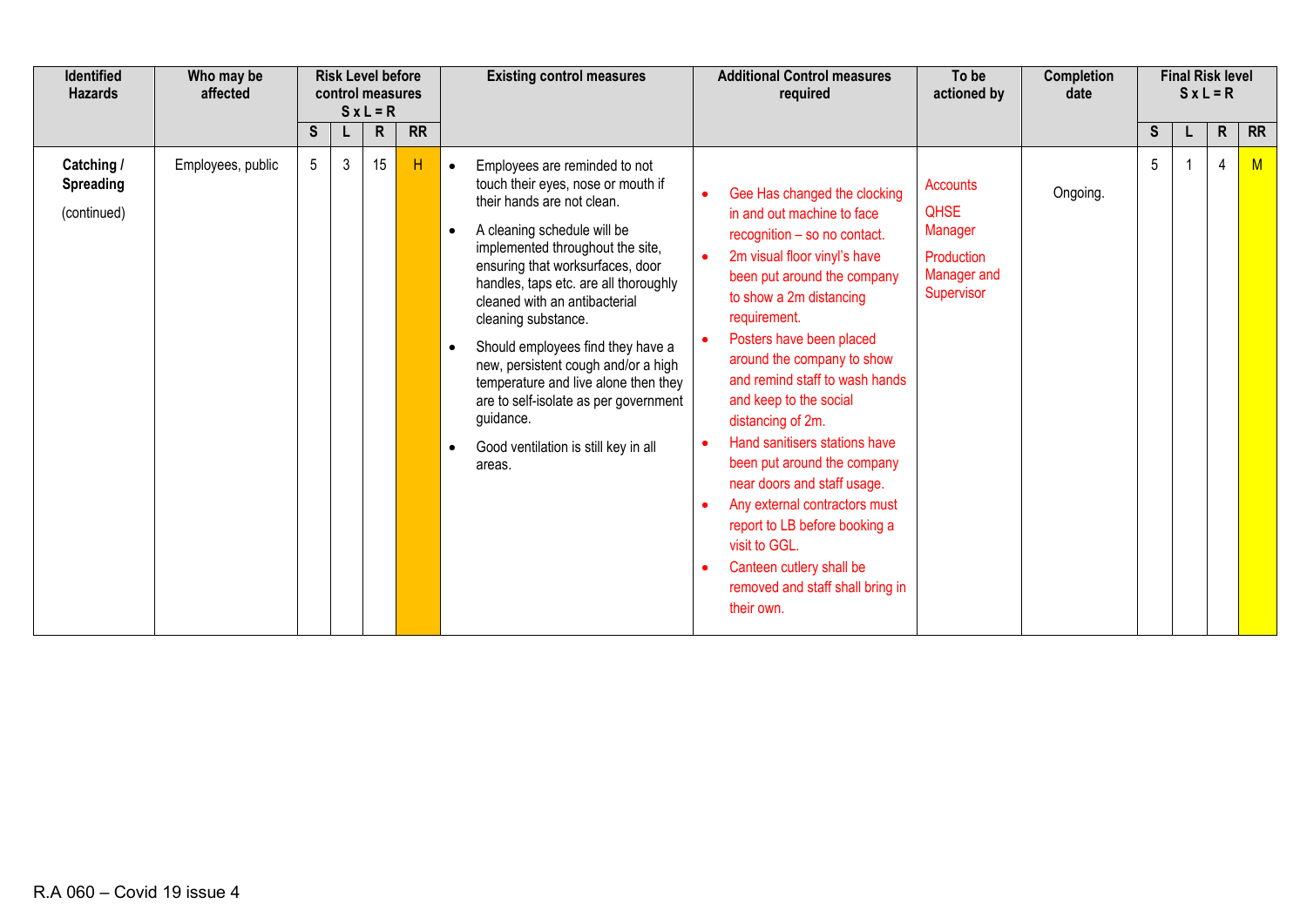| <b>Identified</b><br><b>Hazards</b>           | Who may be<br>affected | <b>Risk Level before</b><br>control measures<br>$S x L = R$ |   |    |           | <b>Existing control measures</b>                                                                                                                                                                                                                                                                                                                                                                                                                                                                                                                                | <b>Additional Control measures</b><br>required                                                                                                                                                                                                                                                                                                                                                                                                                                                                                                                                                                               | To be<br>actioned by                                                                 | Completion<br>date | <b>Final Risk level</b><br>$S x L = R$ |  |              |           |  |  |  |
|-----------------------------------------------|------------------------|-------------------------------------------------------------|---|----|-----------|-----------------------------------------------------------------------------------------------------------------------------------------------------------------------------------------------------------------------------------------------------------------------------------------------------------------------------------------------------------------------------------------------------------------------------------------------------------------------------------------------------------------------------------------------------------------|------------------------------------------------------------------------------------------------------------------------------------------------------------------------------------------------------------------------------------------------------------------------------------------------------------------------------------------------------------------------------------------------------------------------------------------------------------------------------------------------------------------------------------------------------------------------------------------------------------------------------|--------------------------------------------------------------------------------------|--------------------|----------------------------------------|--|--------------|-----------|--|--|--|
|                                               |                        | S                                                           | L | R  | <b>RR</b> |                                                                                                                                                                                                                                                                                                                                                                                                                                                                                                                                                                 |                                                                                                                                                                                                                                                                                                                                                                                                                                                                                                                                                                                                                              |                                                                                      |                    | S                                      |  | $\mathsf{R}$ | <b>RR</b> |  |  |  |
| Catching /<br><b>Spreading</b><br>(continued) | Employees, public      | $5\phantom{.0}$                                             | 3 | 15 | H         | Employees are reminded to not<br>$\bullet$<br>touch their eyes, nose or mouth if<br>their hands are not clean.<br>A cleaning schedule will be<br>$\bullet$<br>implemented throughout the site,<br>ensuring that worksurfaces, door<br>handles, taps etc. are all thoroughly<br>cleaned with an antibacterial<br>cleaning substance.<br>Should employees find they have a<br>new, persistent cough and/or a high<br>temperature and live alone then they<br>are to self-isolate as per government<br>guidance.<br>Good ventilation is still key in all<br>areas. | Gee Has changed the clocking<br>in and out machine to face<br>recognition - so no contact.<br>2m visual floor vinyl's have<br>$\bullet$<br>been put around the company<br>to show a 2m distancing<br>requirement.<br>Posters have been placed<br>around the company to show<br>and remind staff to wash hands<br>and keep to the social<br>distancing of 2m.<br>Hand sanitisers stations have<br>been put around the company<br>near doors and staff usage.<br>Any external contractors must<br>report to LB before booking a<br>visit to GGL.<br>Canteen cutlery shall be<br>removed and staff shall bring in<br>their own. | <b>Accounts</b><br><b>QHSE</b><br>Manager<br>Production<br>Manager and<br>Supervisor | Ongoing.           | 5                                      |  | 4            | M         |  |  |  |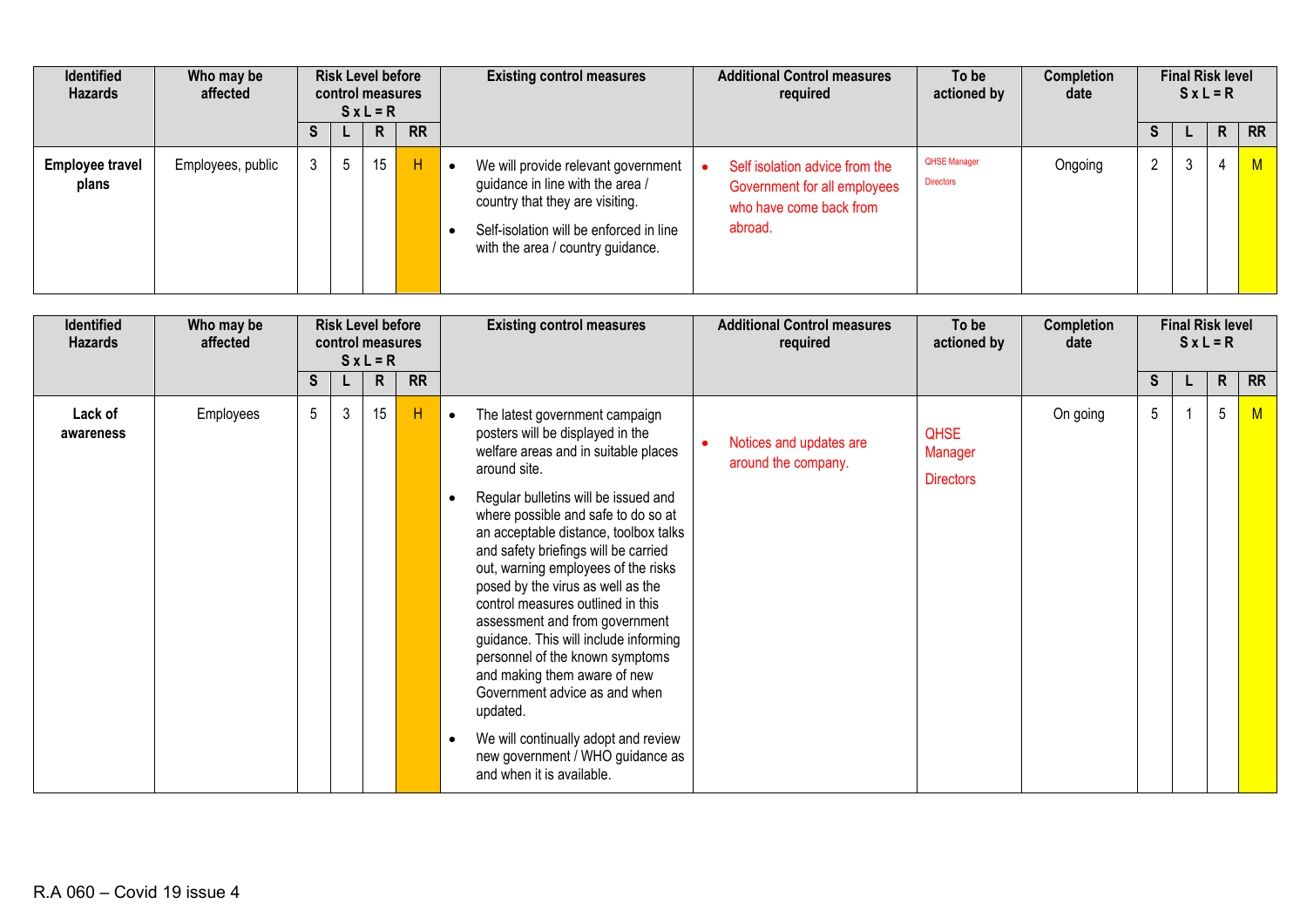| <b>Identified</b><br><b>Hazards</b> | Who may be<br>affected |  | <b>Risk Level before</b><br>control measures<br>$SxL = R$ |    |           |                                                                                                                                                                                            |                                                                                                      |                                         | <b>Existing control measures</b> | <b>Additional Control measures</b><br>required | To be<br>actioned by | <b>Completion</b><br>date |           | <b>Final Risk level</b> | $SxL = R$ |  |
|-------------------------------------|------------------------|--|-----------------------------------------------------------|----|-----------|--------------------------------------------------------------------------------------------------------------------------------------------------------------------------------------------|------------------------------------------------------------------------------------------------------|-----------------------------------------|----------------------------------|------------------------------------------------|----------------------|---------------------------|-----------|-------------------------|-----------|--|
|                                     |                        |  |                                                           | R  | <b>RR</b> |                                                                                                                                                                                            |                                                                                                      |                                         |                                  | ъ                                              |                      | R                         | <b>RR</b> |                         |           |  |
| <b>Employee travel</b><br>plans     | Employees, public      |  | Ð                                                         | 15 | H         | We will provide relevant government<br>guidance in line with the area /<br>country that they are visiting.<br>Self-isolation will be enforced in line<br>with the area / country guidance. | Self isolation advice from the<br>Government for all employees<br>who have come back from<br>abroad. | <b>QHSE Manager</b><br><b>Directors</b> | Ongoing                          | $\overline{2}$                                 | J.                   |                           | M         |                         |           |  |

| <b>Identified</b><br><b>Hazards</b> | Who may be<br>affected | <b>Risk Level before</b><br>control measures<br>$S x L = R$ |    |              |           |                                                                                                                                                                                                                                                                                                                                                                                                                                                                                                                                                                                                                                                                                                                                           | <b>Existing control measures</b>               | <b>Additional Control measures</b><br>required | To be<br>actioned by | <b>Completion</b><br>date |  | <b>Final Risk level</b> | $SxL = R$ |  |
|-------------------------------------|------------------------|-------------------------------------------------------------|----|--------------|-----------|-------------------------------------------------------------------------------------------------------------------------------------------------------------------------------------------------------------------------------------------------------------------------------------------------------------------------------------------------------------------------------------------------------------------------------------------------------------------------------------------------------------------------------------------------------------------------------------------------------------------------------------------------------------------------------------------------------------------------------------------|------------------------------------------------|------------------------------------------------|----------------------|---------------------------|--|-------------------------|-----------|--|
|                                     |                        | S.                                                          | L. | $\mathsf{R}$ | <b>RR</b> |                                                                                                                                                                                                                                                                                                                                                                                                                                                                                                                                                                                                                                                                                                                                           |                                                |                                                |                      | S.                        |  | $\mathsf{R}$            | <b>RR</b> |  |
| Lack of<br>awareness                | Employees              | 5                                                           | 3  | 15           | H         | The latest government campaign<br>$\bullet$<br>posters will be displayed in the<br>welfare areas and in suitable places<br>around site.<br>Regular bulletins will be issued and<br>where possible and safe to do so at<br>an acceptable distance, toolbox talks<br>and safety briefings will be carried<br>out, warning employees of the risks<br>posed by the virus as well as the<br>control measures outlined in this<br>assessment and from government<br>guidance. This will include informing<br>personnel of the known symptoms<br>and making them aware of new<br>Government advice as and when<br>updated.<br>We will continually adopt and review<br>$\bullet$<br>new government / WHO guidance as<br>and when it is available. | Notices and updates are<br>around the company. | <b>QHSE</b><br>Manager<br><b>Directors</b>     | On going             | 5                         |  | $5\phantom{.0}$         | M         |  |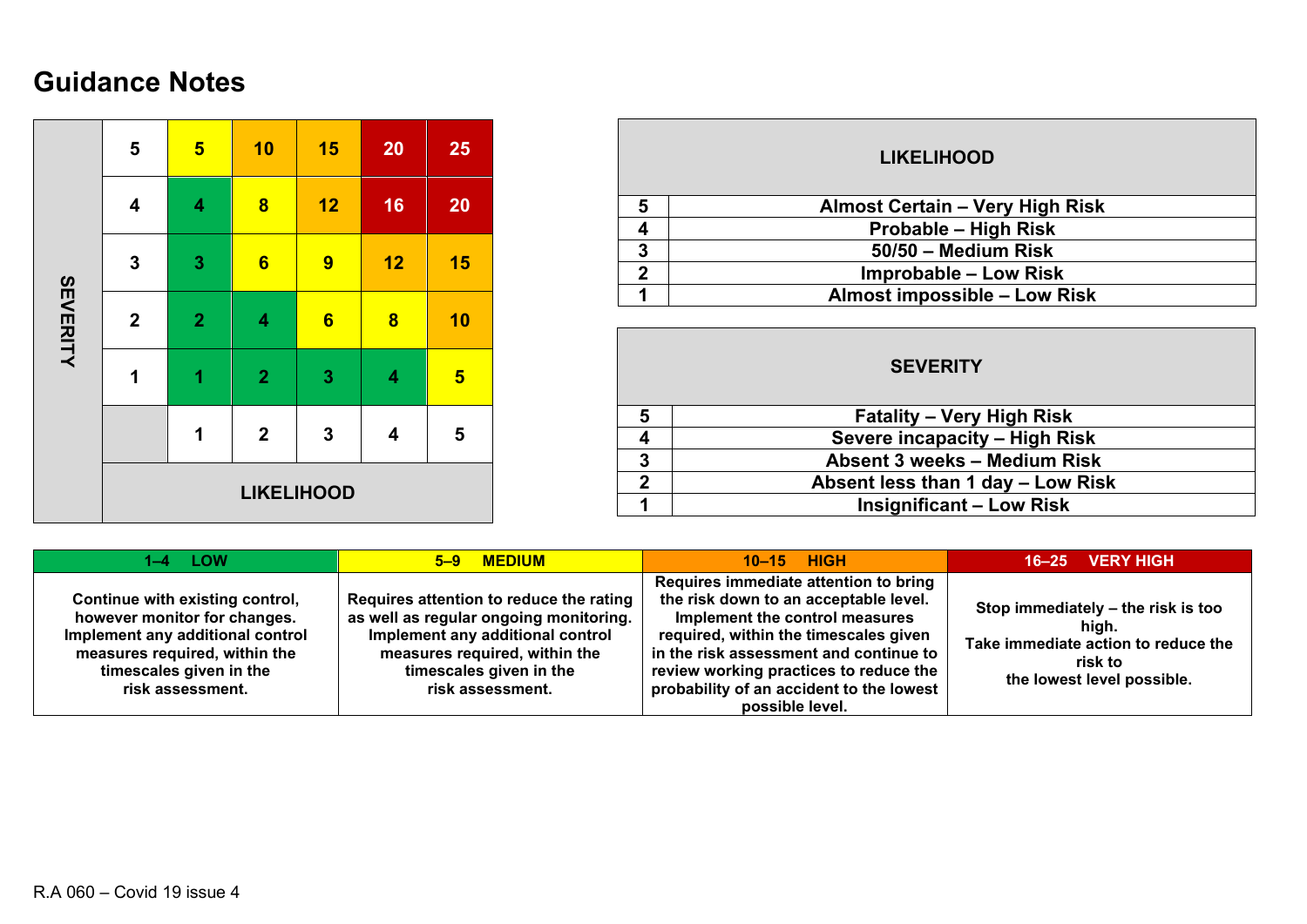## **Guidance Notes**

| SEVERITY | 5                 | $5\phantom{a}$          | 10             | 15             | 20                      | 25                      |  |  |  |  |
|----------|-------------------|-------------------------|----------------|----------------|-------------------------|-------------------------|--|--|--|--|
|          | 4                 | $\overline{\mathbf{4}}$ | $\bf{8}$       | 12             | 16                      | 20                      |  |  |  |  |
|          | $\mathbf{3}$      | $\mathbf{3}$            | $6\phantom{1}$ | 9              | 12                      | 15                      |  |  |  |  |
|          | $\boldsymbol{2}$  | $\overline{2}$          | 4              | $6\phantom{1}$ | $\overline{\mathbf{8}}$ | 10                      |  |  |  |  |
|          | 1                 | $\overline{1}$          | $\overline{2}$ | 3              | $\overline{\mathbf{4}}$ | $5\phantom{1}$          |  |  |  |  |
|          |                   | 1                       | $\mathbf 2$    | $\mathbf 3$    | 4                       | $\overline{\mathbf{5}}$ |  |  |  |  |
|          | <b>LIKELIHOOD</b> |                         |                |                |                         |                         |  |  |  |  |

| <b>LIKELIHOOD</b> |                                        |  |  |  |  |  |  |  |  |  |
|-------------------|----------------------------------------|--|--|--|--|--|--|--|--|--|
| 5                 | <b>Almost Certain - Very High Risk</b> |  |  |  |  |  |  |  |  |  |
|                   | <b>Probable - High Risk</b>            |  |  |  |  |  |  |  |  |  |
| 3                 | 50/50 - Medium Risk                    |  |  |  |  |  |  |  |  |  |
| $\mathbf 2$       | <b>Improbable – Low Risk</b>           |  |  |  |  |  |  |  |  |  |
|                   | <b>Almost impossible - Low Risk</b>    |  |  |  |  |  |  |  |  |  |
|                   |                                        |  |  |  |  |  |  |  |  |  |

|              | <b>SEVERITY</b>                   |  |  |  |  |  |  |  |  |  |  |  |
|--------------|-----------------------------------|--|--|--|--|--|--|--|--|--|--|--|
| 5            | <b>Fatality – Very High Risk</b>  |  |  |  |  |  |  |  |  |  |  |  |
|              | Severe incapacity - High Risk     |  |  |  |  |  |  |  |  |  |  |  |
| 3            | Absent 3 weeks - Medium Risk      |  |  |  |  |  |  |  |  |  |  |  |
| $\mathbf{c}$ | Absent less than 1 day - Low Risk |  |  |  |  |  |  |  |  |  |  |  |
|              | <b>Insignificant - Low Risk</b>   |  |  |  |  |  |  |  |  |  |  |  |

| 1–4 LOW                                                                                                                                                                             | 5-9 MEDIUM                                                                                                                                                                                            | $10-15$ HIGH                                                                                                                                                                                                                                                                                                 | <b>VERY HIGH</b><br>$16 - 25$                                                                                               |
|-------------------------------------------------------------------------------------------------------------------------------------------------------------------------------------|-------------------------------------------------------------------------------------------------------------------------------------------------------------------------------------------------------|--------------------------------------------------------------------------------------------------------------------------------------------------------------------------------------------------------------------------------------------------------------------------------------------------------------|-----------------------------------------------------------------------------------------------------------------------------|
| Continue with existing control,<br>however monitor for changes.<br>Implement any additional control<br>measures required, within the<br>timescales given in the<br>risk assessment. | Requires attention to reduce the rating<br>as well as regular ongoing monitoring.<br>Implement any additional control<br>measures required, within the<br>timescales given in the<br>risk assessment. | Requires immediate attention to bring<br>the risk down to an acceptable level.<br>Implement the control measures<br>required, within the timescales given<br>in the risk assessment and continue to<br>review working practices to reduce the<br>probability of an accident to the lowest<br>possible level. | Stop immediately – the risk is too<br>hiah.<br>Take immediate action to reduce the<br>risk to<br>the lowest level possible. |